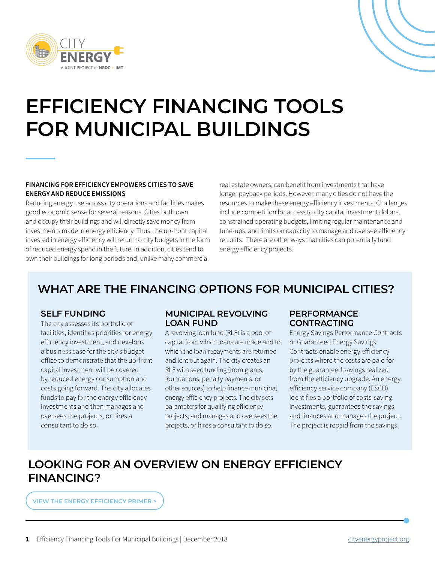



### **FINANCING FOR EFFICIENCY EMPOWERS CITIES TO SAVE ENERGY AND REDUCE EMISSIONS**

Reducing energy use across city operations and facilities makes good economic sense for several reasons. Cities both own and occupy their buildings and will directly save money from investments made in energy efficiency. Thus, the up-front capital invested in energy efficiency will return to city budgets in the form of reduced energy spend in the future. In addition, cities tend to own their buildings for long periods and, unlike many commercial

real estate owners, can benefit from investments that have longer payback periods. However, many cities do not have the resources to make these energy efficiency investments. Challenges include competition for access to city capital investment dollars, constrained operating budgets, limiting regular maintenance and tune-ups, and limits on capacity to manage and oversee efficiency retrofits. There are other ways that cities can potentially fund energy efficiency projects.

# **WHAT ARE THE FINANCING OPTIONS FOR MUNICIPAL CITIES?**

## **SELF FUNDING**

The city assesses its portfolio of facilities, identifies priorities for energy efficiency investment, and develops a business case for the city's budget office to demonstrate that the up-front capital investment will be covered by reduced energy consumption and costs going forward. The city allocates funds to pay for the energy efficiency investments and then manages and oversees the projects, or hires a consultant to do so.

## **MUNICIPAL REVOLVING LOAN FUND**

A revolving loan fund (RLF) is a pool of capital from which loans are made and to which the loan repayments are returned and lent out again. The city creates an RLF with seed funding (from grants, foundations, penalty payments, or other sources) to help finance municipal energy efficiency projects. The city sets parameters for qualifying efficiency projects, and manages and oversees the projects, or hires a consultant to do so.

## **PERFORMANCE CONTRACTING**

Energy Savings Performance Contracts or Guaranteed Energy Savings Contracts enable energy efficiency projects where the costs are paid for by the guaranteed savings realized from the efficiency upgrade. An energy efficiency service company (ESCO) identifies a portfolio of costs-saving investments, guarantees the savings, and finances and manages the project. The project is repaid from the savings.

# **LOOKING FOR AN OVERVIEW ON ENERGY EFFICIENCY FINANCING?**

**[VIEW THE ENERGY EFFICIENCY PRIMER >](http://www.cityenergyproject.org/resources/energy-efficiency-primer)**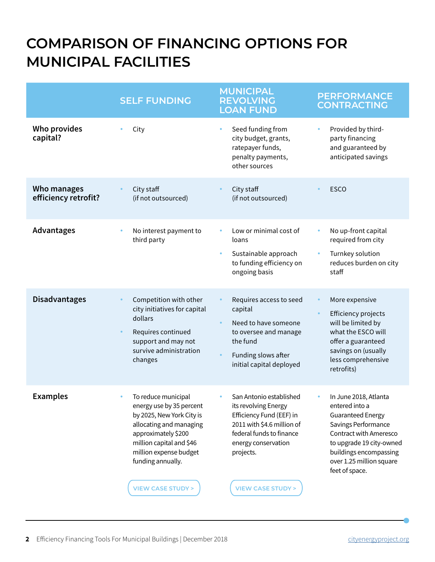# **COMPARISON OF FINANCING OPTIONS FOR MUNICIPAL FACILITIES**

|                                     | <b>SELF FUNDING</b>                                                                                                                                                                                                                                   | <b>MUNICIPAL</b><br><b>REVOLVING</b><br><b>LOAN FUND</b>                                                                                                                                                 | <b>PERFORMANCE</b><br><b>CONTRACTING</b>                                                                                                                                                                                             |
|-------------------------------------|-------------------------------------------------------------------------------------------------------------------------------------------------------------------------------------------------------------------------------------------------------|----------------------------------------------------------------------------------------------------------------------------------------------------------------------------------------------------------|--------------------------------------------------------------------------------------------------------------------------------------------------------------------------------------------------------------------------------------|
| <b>Who provides</b><br>capital?     | City                                                                                                                                                                                                                                                  | Seed funding from<br>$\bullet$<br>city budget, grants,<br>ratepayer funds,<br>penalty payments,<br>other sources                                                                                         | Provided by third-<br>$\bullet$<br>party financing<br>and guaranteed by<br>anticipated savings                                                                                                                                       |
| Who manages<br>efficiency retrofit? | City staff<br>(if not outsourced)                                                                                                                                                                                                                     | City staff<br>(if not outsourced)                                                                                                                                                                        | <b>ESCO</b>                                                                                                                                                                                                                          |
| Advantages                          | No interest payment to<br>$\bullet$<br>third party                                                                                                                                                                                                    | Low or minimal cost of<br>loans<br>Sustainable approach<br>$\bullet$<br>to funding efficiency on<br>ongoing basis                                                                                        | No up-front capital<br>required from city<br>Turnkey solution<br>reduces burden on city<br>staff                                                                                                                                     |
| <b>Disadvantages</b>                | Competition with other<br>city initiatives for capital<br>dollars<br>Requires continued<br>support and may not<br>survive administration<br>changes                                                                                                   | Requires access to seed<br>capital<br>Need to have someone<br>to oversee and manage<br>the fund<br>Funding slows after<br>initial capital deployed                                                       | More expensive<br><b>Efficiency projects</b><br>will be limited by<br>what the ESCO will<br>offer a guaranteed<br>savings on (usually<br>less comprehensive<br>retrofits)                                                            |
| <b>Examples</b>                     | To reduce municipal<br>$\bullet$<br>energy use by 35 percent<br>by 2025, New York City is<br>allocating and managing<br>approximately \$200<br>million capital and \$46<br>million expense budget<br>funding annually.<br><b>VIEW CASE STUDY &gt;</b> | San Antonio established<br>its revolving Energy<br>Efficiency Fund (EEF) in<br>2011 with \$4.6 million of<br>federal funds to finance<br>energy conservation<br>projects.<br><b>VIEW CASE STUDY &gt;</b> | In June 2018, Atlanta<br>۰<br>entered into a<br><b>Guaranteed Energy</b><br>Savings Performance<br><b>Contract with Ameresco</b><br>to upgrade 19 city-owned<br>buildings encompassing<br>over 1.25 million square<br>feet of space. |